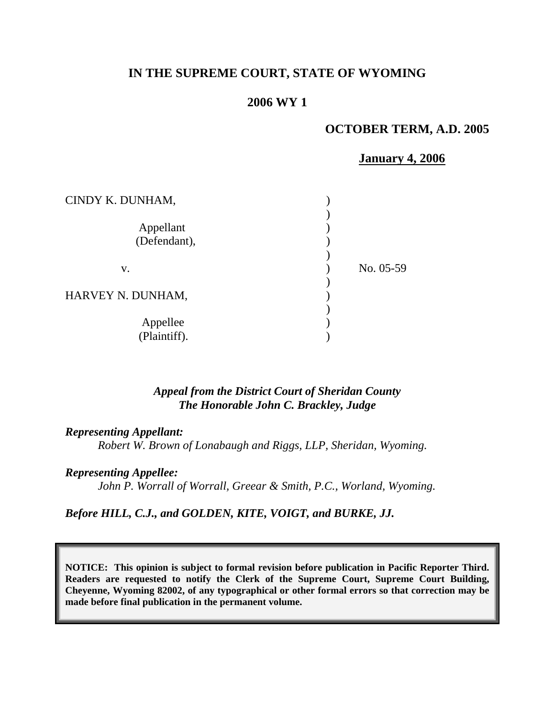# **IN THE SUPREME COURT, STATE OF WYOMING**

### **2006 WY 1**

### **OCTOBER TERM, A.D. 2005**

#### **January 4, 2006**

| CINDY K. DUNHAM,          |           |
|---------------------------|-----------|
| Appellant<br>(Defendant), |           |
| V.                        | No. 05-59 |
| HARVEY N. DUNHAM,         |           |
| Appellee<br>(Plaintiff).  |           |

### *Appeal from the District Court of Sheridan County The Honorable John C. Brackley, Judge*

#### *Representing Appellant:*

*Robert W. Brown of Lonabaugh and Riggs, LLP, Sheridan, Wyoming.* 

#### *Representing Appellee:*

*John P. Worrall of Worrall, Greear & Smith, P.C., Worland, Wyoming.* 

*Before HILL, C.J., and GOLDEN, KITE, VOIGT, and BURKE, JJ.* 

**NOTICE: This opinion is subject to formal revision before publication in Pacific Reporter Third. Readers are requested to notify the Clerk of the Supreme Court, Supreme Court Building, Cheyenne, Wyoming 82002, of any typographical or other formal errors so that correction may be made before final publication in the permanent volume.**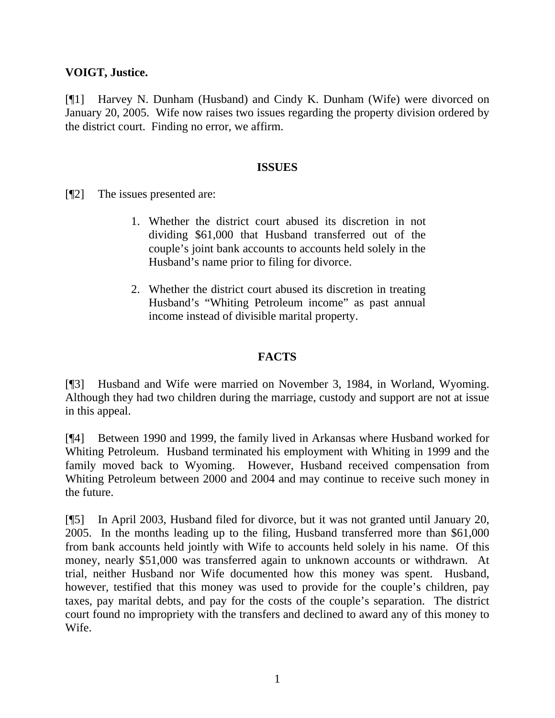# **VOIGT, Justice.**

[¶1] Harvey N. Dunham (Husband) and Cindy K. Dunham (Wife) were divorced on January 20, 2005. Wife now raises two issues regarding the property division ordered by the district court. Finding no error, we affirm.

### **ISSUES**

[¶2] The issues presented are:

- 1. Whether the district court abused its discretion in not dividing \$61,000 that Husband transferred out of the couple's joint bank accounts to accounts held solely in the Husband's name prior to filing for divorce.
- 2. Whether the district court abused its discretion in treating Husband's "Whiting Petroleum income" as past annual income instead of divisible marital property.

# **FACTS**

[¶3] Husband and Wife were married on November 3, 1984, in Worland, Wyoming. Although they had two children during the marriage, custody and support are not at issue in this appeal.

[¶4] Between 1990 and 1999, the family lived in Arkansas where Husband worked for Whiting Petroleum. Husband terminated his employment with Whiting in 1999 and the family moved back to Wyoming. However, Husband received compensation from Whiting Petroleum between 2000 and 2004 and may continue to receive such money in the future.

[¶5] In April 2003, Husband filed for divorce, but it was not granted until January 20, 2005. In the months leading up to the filing, Husband transferred more than \$61,000 from bank accounts held jointly with Wife to accounts held solely in his name. Of this money, nearly \$51,000 was transferred again to unknown accounts or withdrawn. At trial, neither Husband nor Wife documented how this money was spent. Husband, however, testified that this money was used to provide for the couple's children, pay taxes, pay marital debts, and pay for the costs of the couple's separation. The district court found no impropriety with the transfers and declined to award any of this money to Wife.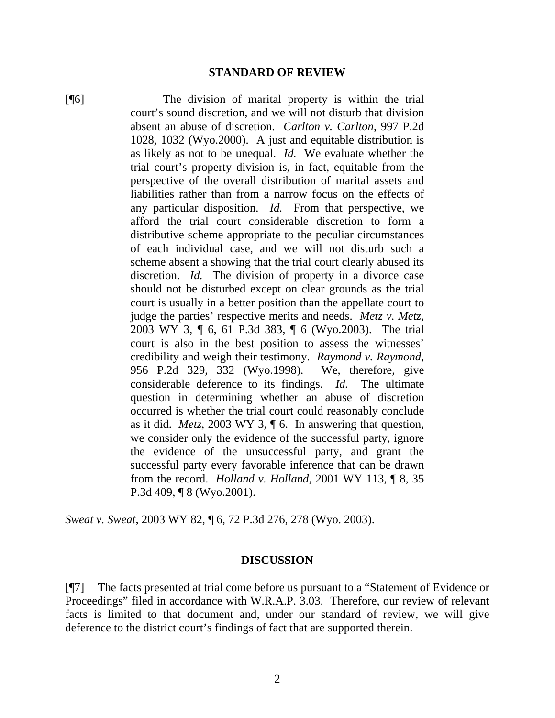#### **STANDARD OF REVIEW**

[¶6] The division of marital property is within the trial court's sound discretion, and we will not disturb that division absent an abuse of discretion. *Carlton v. Carlton*, 997 P.2d 1028, 1032 (Wyo.2000). A just and equitable distribution is as likely as not to be unequal. *Id.* We evaluate whether the trial court's property division is, in fact, equitable from the perspective of the overall distribution of marital assets and liabilities rather than from a narrow focus on the effects of any particular disposition. *Id.* From that perspective, we afford the trial court considerable discretion to form a distributive scheme appropriate to the peculiar circumstances of each individual case, and we will not disturb such a scheme absent a showing that the trial court clearly abused its discretion. *Id.* The division of property in a divorce case should not be disturbed except on clear grounds as the trial court is usually in a better position than the appellate court to judge the parties' respective merits and needs. *Metz v. Metz*, 2003 WY 3, ¶ 6, 61 P.3d 383, ¶ 6 (Wyo.2003). The trial court is also in the best position to assess the witnesses' credibility and weigh their testimony. *Raymond v. Raymond*, 956 P.2d 329, 332 (Wyo.1998). We, therefore, give considerable deference to its findings. *Id.* The ultimate question in determining whether an abuse of discretion occurred is whether the trial court could reasonably conclude as it did. *Metz*, 2003 WY 3, ¶ 6. In answering that question, we consider only the evidence of the successful party, ignore the evidence of the unsuccessful party, and grant the successful party every favorable inference that can be drawn from the record. *Holland v. Holland*, 2001 WY 113, ¶ 8, 35 P.3d 409, ¶ 8 (Wyo.2001).

*Sweat v. Sweat*, 2003 WY 82, ¶ 6, 72 P.3d 276, 278 (Wyo. 2003).

#### **DISCUSSION**

[¶7] The facts presented at trial come before us pursuant to a "Statement of Evidence or Proceedings" filed in accordance with W.R.A.P. 3.03. Therefore, our review of relevant facts is limited to that document and, under our standard of review, we will give deference to the district court's findings of fact that are supported therein.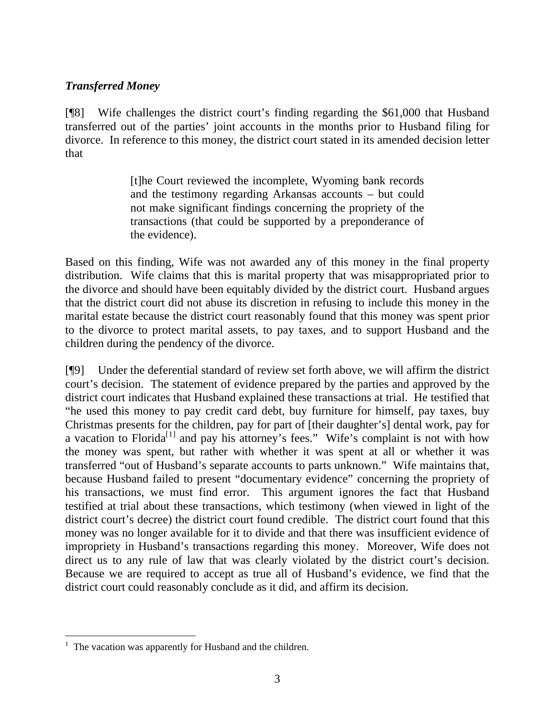# *Transferred Money*

[¶8] Wife challenges the district court's finding regarding the \$61,000 that Husband transferred out of the parties' joint accounts in the months prior to Husband filing for divorce. In reference to this money, the district court stated in its amended decision letter that

> [t]he Court reviewed the incomplete, Wyoming bank records and the testimony regarding Arkansas accounts – but could not make significant findings concerning the propriety of the transactions (that could be supported by a preponderance of the evidence).

Based on this finding, Wife was not awarded any of this money in the final property distribution. Wife claims that this is marital property that was misappropriated prior to the divorce and should have been equitably divided by the district court. Husband argues that the district court did not abuse its discretion in refusing to include this money in the marital estate because the district court reasonably found that this money was spent prior to the divorce to protect marital assets, to pay taxes, and to support Husband and the children during the pendency of the divorce.

[¶9] Under the deferential standard of review set forth above, we will affirm the district court's decision. The statement of evidence prepared by the parties and approved by the district court indicates that Husband explained these transactions at trial. He testified that "he used this money to pay credit card debt, buy furniture for himself, pay taxes, buy Christmas presents for the children, pay for part of [their daughter's] dental work, pay for a vacation to Florida<sup>[1]</sup> and pay his attorney's fees." Wife's complaint is not with how the money was spent, but rather with whether it was spent at all or whether it was transferred "out of Husband's separate accounts to parts unknown." Wife maintains that, because Husband failed to present "documentary evidence" concerning the propriety of his transactions, we must find error. This argument ignores the fact that Husband testified at trial about these transactions, which testimony (when viewed in light of the district court's decree) the district court found credible. The district court found that this money was no longer available for it to divide and that there was insufficient evidence of impropriety in Husband's transactions regarding this money. Moreover, Wife does not direct us to any rule of law that was clearly violated by the district court's decision. Because we are required to accept as true all of Husband's evidence, we find that the district court could reasonably conclude as it did, and affirm its decision.

<span id="page-3-0"></span> $<sup>1</sup>$  The vacation was apparently for Husband and the children.</sup>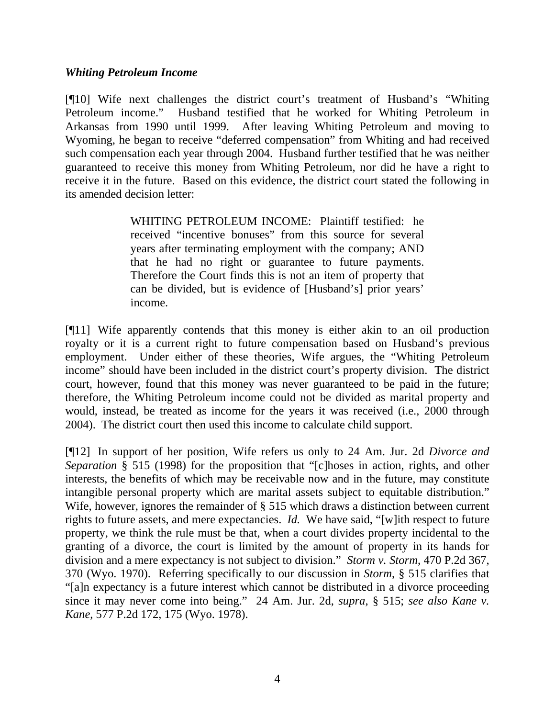### *Whiting Petroleum Income*

[¶10] Wife next challenges the district court's treatment of Husband's "Whiting Petroleum income." Husband testified that he worked for Whiting Petroleum in Arkansas from 1990 until 1999. After leaving Whiting Petroleum and moving to Wyoming, he began to receive "deferred compensation" from Whiting and had received such compensation each year through 2004. Husband further testified that he was neither guaranteed to receive this money from Whiting Petroleum, nor did he have a right to receive it in the future. Based on this evidence, the district court stated the following in its amended decision letter:

> WHITING PETROLEUM INCOME: Plaintiff testified: he received "incentive bonuses" from this source for several years after terminating employment with the company; AND that he had no right or guarantee to future payments. Therefore the Court finds this is not an item of property that can be divided, but is evidence of [Husband's] prior years' income.

[¶11] Wife apparently contends that this money is either akin to an oil production royalty or it is a current right to future compensation based on Husband's previous employment. Under either of these theories, Wife argues, the "Whiting Petroleum income" should have been included in the district court's property division. The district court, however, found that this money was never guaranteed to be paid in the future; therefore, the Whiting Petroleum income could not be divided as marital property and would, instead, be treated as income for the years it was received (i.e., 2000 through 2004). The district court then used this income to calculate child support.

[¶12] In support of her position, Wife refers us only to 24 Am. Jur. 2d *Divorce and Separation* § 515 (1998) for the proposition that "[c]hoses in action, rights, and other interests, the benefits of which may be receivable now and in the future, may constitute intangible personal property which are marital assets subject to equitable distribution." Wife, however, ignores the remainder of § 515 which draws a distinction between current rights to future assets, and mere expectancies. *Id.* We have said, "[w]ith respect to future property, we think the rule must be that, when a court divides property incidental to the granting of a divorce, the court is limited by the amount of property in its hands for division and a mere expectancy is not subject to division." *Storm v. Storm*, 470 P.2d 367, 370 (Wyo. 1970). Referring specifically to our discussion in *Storm*, § 515 clarifies that "[a]n expectancy is a future interest which cannot be distributed in a divorce proceeding since it may never come into being." 24 Am. Jur. 2d, *supra*, § 515; *see also Kane v. Kane*, 577 P.2d 172, 175 (Wyo. 1978).